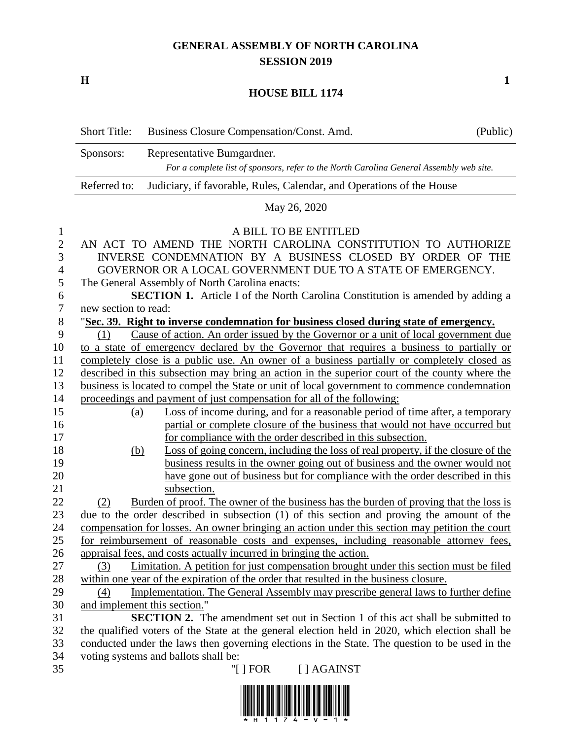## **GENERAL ASSEMBLY OF NORTH CAROLINA SESSION 2019**

**H 1**

## **HOUSE BILL 1174**

|               | <b>Short Title:</b>                                                                            | Business Closure Compensation/Const. Amd.                                                                                                   | (Public) |
|---------------|------------------------------------------------------------------------------------------------|---------------------------------------------------------------------------------------------------------------------------------------------|----------|
|               | Sponsors:                                                                                      | Representative Bumgardner.                                                                                                                  |          |
|               | For a complete list of sponsors, refer to the North Carolina General Assembly web site.        |                                                                                                                                             |          |
|               | Referred to:                                                                                   | Judiciary, if favorable, Rules, Calendar, and Operations of the House                                                                       |          |
|               | May 26, 2020                                                                                   |                                                                                                                                             |          |
| $\mathbf{1}$  |                                                                                                | A BILL TO BE ENTITLED                                                                                                                       |          |
| $\mathbf{2}$  | AN ACT TO AMEND THE NORTH CAROLINA CONSTITUTION TO AUTHORIZE                                   |                                                                                                                                             |          |
| 3             | INVERSE CONDEMNATION BY A BUSINESS CLOSED BY ORDER OF THE                                      |                                                                                                                                             |          |
| 4             | GOVERNOR OR A LOCAL GOVERNMENT DUE TO A STATE OF EMERGENCY.                                    |                                                                                                                                             |          |
| $\mathfrak s$ | The General Assembly of North Carolina enacts:                                                 |                                                                                                                                             |          |
| 6             |                                                                                                | <b>SECTION 1.</b> Article I of the North Carolina Constitution is amended by adding a                                                       |          |
| $\tau$        | new section to read:                                                                           |                                                                                                                                             |          |
| $8\,$         | "Sec. 39. Right to inverse condemnation for business closed during state of emergency.         |                                                                                                                                             |          |
| 9             | (1)                                                                                            | Cause of action. An order issued by the Governor or a unit of local government due                                                          |          |
| 10            |                                                                                                | to a state of emergency declared by the Governor that requires a business to partially or                                                   |          |
| 11            | completely close is a public use. An owner of a business partially or completely closed as     |                                                                                                                                             |          |
| 12            | described in this subsection may bring an action in the superior court of the county where the |                                                                                                                                             |          |
| 13            | business is located to compel the State or unit of local government to commence condemnation   |                                                                                                                                             |          |
| 14            |                                                                                                | proceedings and payment of just compensation for all of the following:                                                                      |          |
| 15            | <u>(a)</u>                                                                                     | Loss of income during, and for a reasonable period of time after, a temporary                                                               |          |
| 16<br>17      |                                                                                                | partial or complete closure of the business that would not have occurred but<br>for compliance with the order described in this subsection. |          |
| 18            | <u>(b)</u>                                                                                     | Loss of going concern, including the loss of real property, if the closure of the                                                           |          |
| 19            |                                                                                                | business results in the owner going out of business and the owner would not                                                                 |          |
| 20            |                                                                                                | have gone out of business but for compliance with the order described in this                                                               |          |
| 21            |                                                                                                | subsection.                                                                                                                                 |          |
| 22            | (2)                                                                                            | Burden of proof. The owner of the business has the burden of proving that the loss is                                                       |          |
| 23            |                                                                                                | due to the order described in subsection (1) of this section and proving the amount of the                                                  |          |
| 24            |                                                                                                | compensation for losses. An owner bringing an action under this section may petition the court                                              |          |
| 25            |                                                                                                | for reimbursement of reasonable costs and expenses, including reasonable attorney fees,                                                     |          |
| 26            |                                                                                                | appraisal fees, and costs actually incurred in bringing the action.                                                                         |          |
| 27            | (3)                                                                                            | Limitation. A petition for just compensation brought under this section must be filed                                                       |          |
| 28            |                                                                                                | within one year of the expiration of the order that resulted in the business closure.                                                       |          |
| 29            | (4)                                                                                            | Implementation. The General Assembly may prescribe general laws to further define                                                           |          |
| 30            |                                                                                                | and implement this section."                                                                                                                |          |
| 31            |                                                                                                | <b>SECTION 2.</b> The amendment set out in Section 1 of this act shall be submitted to                                                      |          |
| 32            |                                                                                                | the qualified voters of the State at the general election held in 2020, which election shall be                                             |          |
| 33            |                                                                                                | conducted under the laws then governing elections in the State. The question to be used in the                                              |          |
| 34            |                                                                                                | voting systems and ballots shall be:                                                                                                        |          |
| 35            |                                                                                                | [ ] AGAINST<br>"[ $] FOR$                                                                                                                   |          |